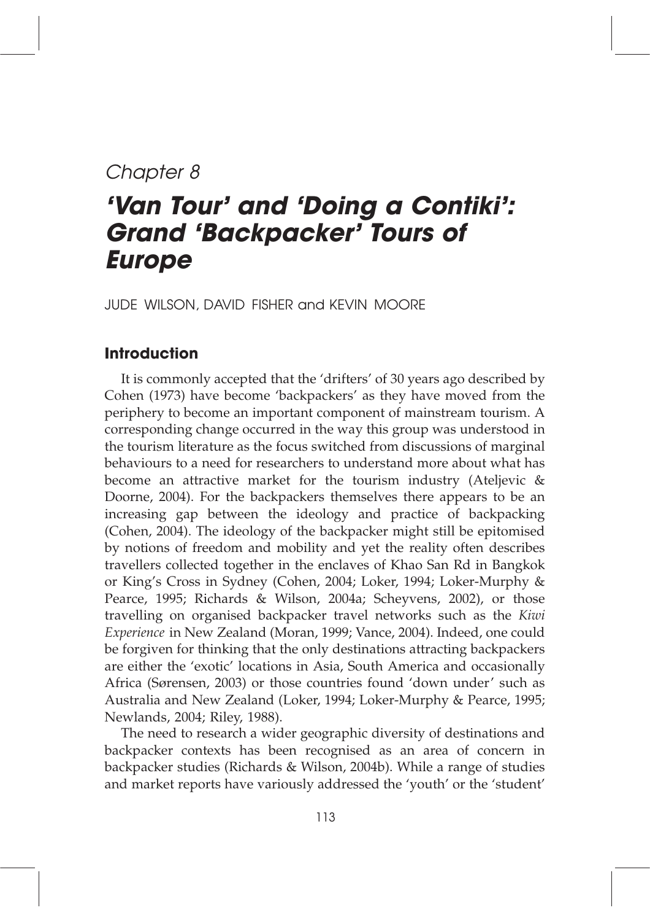## Chapter 8

# 'Van Tour' and 'Doing <sup>a</sup> Contiki': Grand 'Backpacker' Tours of Europe

JUDE WILSON, DAVID FISHER and KEVIN MOORE

#### **Introduction**

It is commonly accepted that the 'drifters' of 30 years ago described by Cohen (1973) have become 'backpackers' as they have moved from the periphery to become an important component of mainstream tourism. A corresponding change occurred in the way this group was understood in the tourism literature as the focus switched from discussions of marginal behaviours to a need for researchers to understand more about what has become an attractive market for the tourism industry (Ateljevic & Doorne, 2004). For the backpackers themselves there appears to be an increasing gap between the ideology and practice of backpacking (Cohen, 2004). The ideology of the backpacker might still be epitomised by notions of freedom and mobility and yet the reality often describes travellers collected together in the enclaves of Khao San Rd in Bangkok or King's Cross in Sydney (Cohen, 2004; Loker, 1994; Loker-Murphy & Pearce, 1995; Richards & Wilson, 2004a; Scheyvens, 2002), or those travelling on organised backpacker travel networks such as the Kiwi Experience in New Zealand (Moran, 1999; Vance, 2004). Indeed, one could be forgiven for thinking that the only destinations attracting backpackers are either the 'exotic' locations in Asia, South America and occasionally Africa (Sørensen, 2003) or those countries found 'down under' such as Australia and New Zealand (Loker, 1994; Loker-Murphy & Pearce, 1995; Newlands, 2004; Riley, 1988).

The need to research a wider geographic diversity of destinations and backpacker contexts has been recognised as an area of concern in backpacker studies (Richards & Wilson, 2004b). While a range of studies and market reports have variously addressed the 'youth' or the 'student'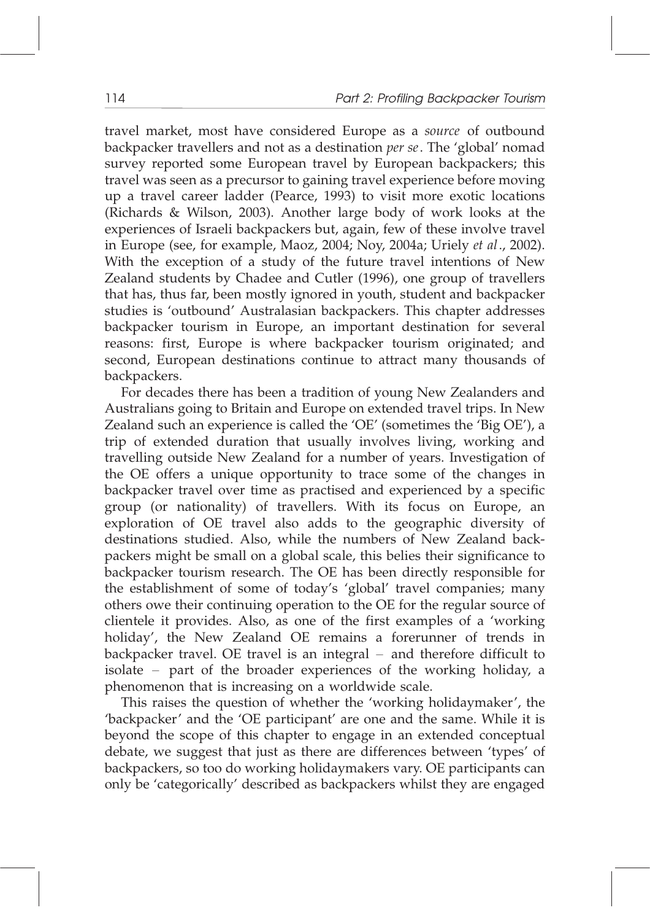travel market, most have considered Europe as a source of outbound backpacker travellers and not as a destination per se. The 'global' nomad survey reported some European travel by European backpackers; this travel was seen as a precursor to gaining travel experience before moving up a travel career ladder (Pearce, 1993) to visit more exotic locations (Richards & Wilson, 2003). Another large body of work looks at the experiences of Israeli backpackers but, again, few of these involve travel in Europe (see, for example, Maoz, 2004; Noy, 2004a; Uriely et al., 2002). With the exception of a study of the future travel intentions of New Zealand students by Chadee and Cutler (1996), one group of travellers that has, thus far, been mostly ignored in youth, student and backpacker studies is 'outbound' Australasian backpackers. This chapter addresses backpacker tourism in Europe, an important destination for several reasons: first, Europe is where backpacker tourism originated; and second, European destinations continue to attract many thousands of backpackers.

For decades there has been a tradition of young New Zealanders and Australians going to Britain and Europe on extended travel trips. In New Zealand such an experience is called the 'OE' (sometimes the 'Big OE'), a trip of extended duration that usually involves living, working and travelling outside New Zealand for a number of years. Investigation of the OE offers a unique opportunity to trace some of the changes in backpacker travel over time as practised and experienced by a specific group (or nationality) of travellers. With its focus on Europe, an exploration of OE travel also adds to the geographic diversity of destinations studied. Also, while the numbers of New Zealand backpackers might be small on a global scale, this belies their significance to backpacker tourism research. The OE has been directly responsible for the establishment of some of today's 'global' travel companies; many others owe their continuing operation to the OE for the regular source of clientele it provides. Also, as one of the first examples of a 'working holiday', the New Zealand OE remains a forerunner of trends in backpacker travel. OE travel is an integral  $-$  and therefore difficult to isolate  $-$  part of the broader experiences of the working holiday, a phenomenon that is increasing on a worldwide scale.

This raises the question of whether the 'working holidaymaker', the 'backpacker' and the 'OE participant' are one and the same. While it is beyond the scope of this chapter to engage in an extended conceptual debate, we suggest that just as there are differences between 'types' of backpackers, so too do working holidaymakers vary. OE participants can only be 'categorically' described as backpackers whilst they are engaged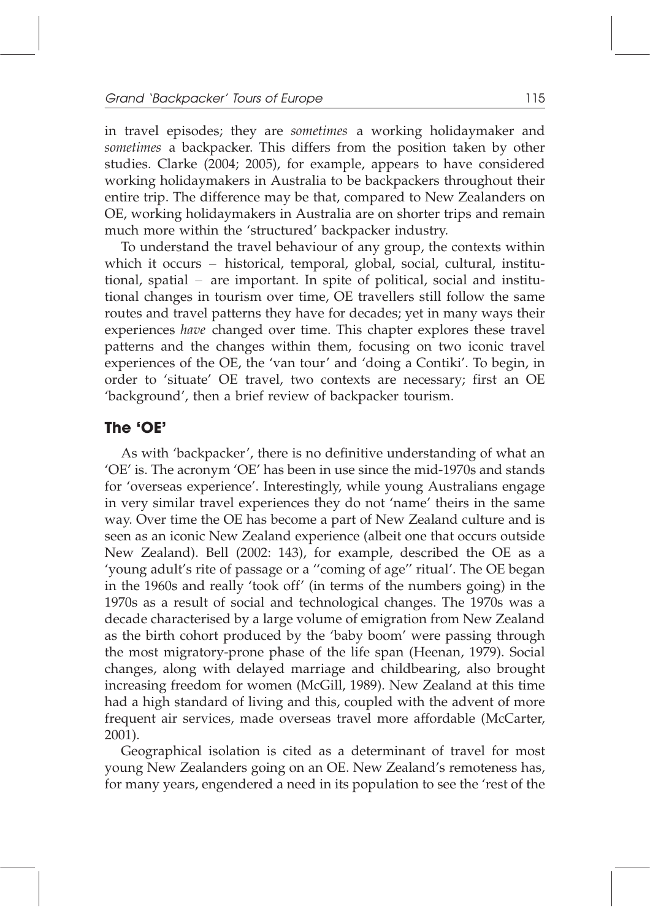in travel episodes; they are sometimes a working holidaymaker and sometimes a backpacker. This differs from the position taken by other studies. Clarke (2004; 2005), for example, appears to have considered working holidaymakers in Australia to be backpackers throughout their entire trip. The difference may be that, compared to New Zealanders on OE, working holidaymakers in Australia are on shorter trips and remain much more within the 'structured' backpacker industry.

To understand the travel behaviour of any group, the contexts within which it occurs - historical, temporal, global, social, cultural, institutional, spatial  $-$  are important. In spite of political, social and institutional changes in tourism over time, OE travellers still follow the same routes and travel patterns they have for decades; yet in many ways their experiences have changed over time. This chapter explores these travel patterns and the changes within them, focusing on two iconic travel experiences of the OE, the 'van tour' and 'doing a Contiki'. To begin, in order to 'situate' OE travel, two contexts are necessary; first an OE 'background', then a brief review of backpacker tourism.

#### The 'OE'

As with 'backpacker', there is no definitive understanding of what an 'OE' is. The acronym 'OE' has been in use since the mid-1970s and stands for 'overseas experience'. Interestingly, while young Australians engage in very similar travel experiences they do not 'name' theirs in the same way. Over time the OE has become a part of New Zealand culture and is seen as an iconic New Zealand experience (albeit one that occurs outside New Zealand). Bell (2002: 143), for example, described the OE as a 'young adult's rite of passage or a ''coming of age'' ritual'. The OE began in the 1960s and really 'took off' (in terms of the numbers going) in the 1970s as a result of social and technological changes. The 1970s was a decade characterised by a large volume of emigration from New Zealand as the birth cohort produced by the 'baby boom' were passing through the most migratory-prone phase of the life span (Heenan, 1979). Social changes, along with delayed marriage and childbearing, also brought increasing freedom for women (McGill, 1989). New Zealand at this time had a high standard of living and this, coupled with the advent of more frequent air services, made overseas travel more affordable (McCarter, 2001).

Geographical isolation is cited as a determinant of travel for most young New Zealanders going on an OE. New Zealand's remoteness has, for many years, engendered a need in its population to see the 'rest of the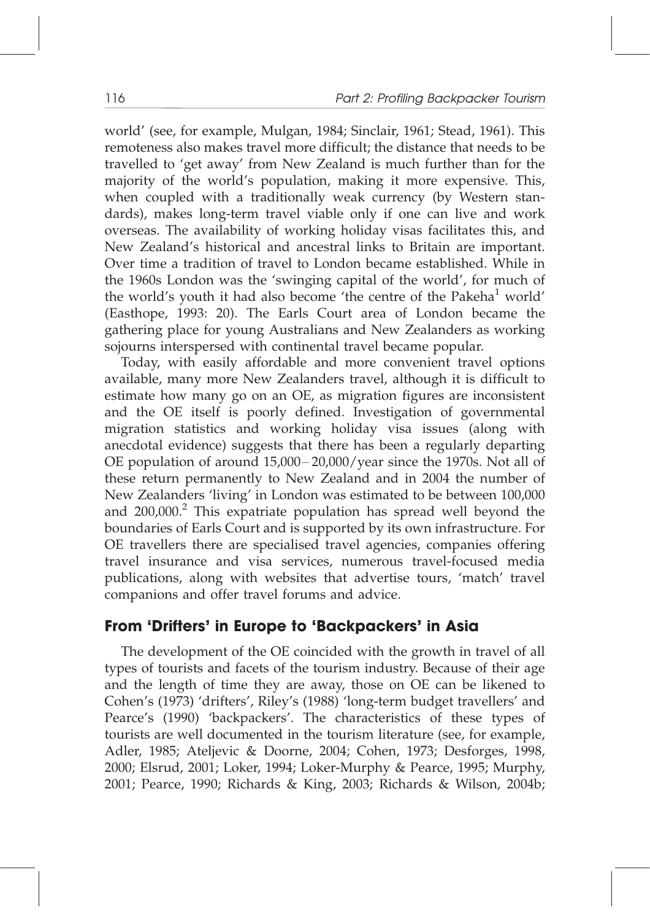world' (see, for example, Mulgan, 1984; Sinclair, 1961; Stead, 1961). This remoteness also makes travel more difficult; the distance that needs to be travelled to 'get away' from New Zealand is much further than for the majority of the world's population, making it more expensive. This, when coupled with a traditionally weak currency (by Western standards), makes long-term travel viable only if one can live and work overseas. The availability of working holiday visas facilitates this, and New Zealand's historical and ancestral links to Britain are important. Over time a tradition of travel to London became established. While in the 1960s London was the 'swinging capital of the world', for much of the world's youth it had also become 'the centre of the Pakeha<sup>1</sup> world' (Easthope, 1993: 20). The Earls Court area of London became the gathering place for young Australians and New Zealanders as working sojourns interspersed with continental travel became popular.

Today, with easily affordable and more convenient travel options available, many more New Zealanders travel, although it is difficult to estimate how many go on an OE, as migration figures are inconsistent and the OE itself is poorly defined. Investigation of governmental migration statistics and working holiday visa issues (along with anecdotal evidence) suggests that there has been a regularly departing OE population of around 15,000 20,000/year since the 1970s. Not all of these return permanently to New Zealand and in 2004 the number of New Zealanders 'living' in London was estimated to be between 100,000 and 200,000.<sup>2</sup> This expatriate population has spread well beyond the boundaries of Earls Court and is supported by its own infrastructure. For OE travellers there are specialised travel agencies, companies offering travel insurance and visa services, numerous travel-focused media publications, along with websites that advertise tours, 'match' travel companions and offer travel forums and advice.

## From 'Drifters' in Europe to 'Backpackers' in Asia

The development of the OE coincided with the growth in travel of all types of tourists and facets of the tourism industry. Because of their age and the length of time they are away, those on OE can be likened to Cohen's (1973) 'drifters', Riley's (1988) 'long-term budget travellers' and Pearce's (1990) 'backpackers'. The characteristics of these types of tourists are well documented in the tourism literature (see, for example, Adler, 1985; Ateljevic & Doorne, 2004; Cohen, 1973; Desforges, 1998, 2000; Elsrud, 2001; Loker, 1994; Loker-Murphy & Pearce, 1995; Murphy, 2001; Pearce, 1990; Richards & King, 2003; Richards & Wilson, 2004b;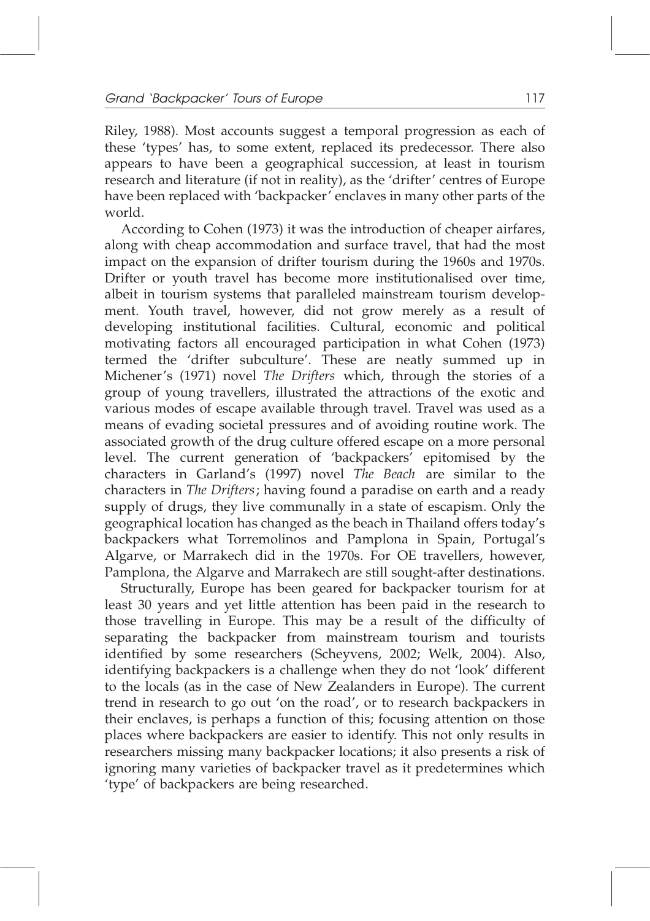Riley, 1988). Most accounts suggest a temporal progression as each of these 'types' has, to some extent, replaced its predecessor. There also appears to have been a geographical succession, at least in tourism research and literature (if not in reality), as the 'drifter' centres of Europe have been replaced with 'backpacker' enclaves in many other parts of the world.

According to Cohen (1973) it was the introduction of cheaper airfares, along with cheap accommodation and surface travel, that had the most impact on the expansion of drifter tourism during the 1960s and 1970s. Drifter or youth travel has become more institutionalised over time, albeit in tourism systems that paralleled mainstream tourism development. Youth travel, however, did not grow merely as a result of developing institutional facilities. Cultural, economic and political motivating factors all encouraged participation in what Cohen (1973) termed the 'drifter subculture'. These are neatly summed up in Michener's (1971) novel The Drifters which, through the stories of a group of young travellers, illustrated the attractions of the exotic and various modes of escape available through travel. Travel was used as a means of evading societal pressures and of avoiding routine work. The associated growth of the drug culture offered escape on a more personal level. The current generation of 'backpackers' epitomised by the characters in Garland's (1997) novel The Beach are similar to the characters in The Drifters; having found a paradise on earth and a ready supply of drugs, they live communally in a state of escapism. Only the geographical location has changed as the beach in Thailand offers today's backpackers what Torremolinos and Pamplona in Spain, Portugal's Algarve, or Marrakech did in the 1970s. For OE travellers, however, Pamplona, the Algarve and Marrakech are still sought-after destinations.

Structurally, Europe has been geared for backpacker tourism for at least 30 years and yet little attention has been paid in the research to those travelling in Europe. This may be a result of the difficulty of separating the backpacker from mainstream tourism and tourists identified by some researchers (Scheyvens, 2002; Welk, 2004). Also, identifying backpackers is a challenge when they do not 'look' different to the locals (as in the case of New Zealanders in Europe). The current trend in research to go out 'on the road', or to research backpackers in their enclaves, is perhaps a function of this; focusing attention on those places where backpackers are easier to identify. This not only results in researchers missing many backpacker locations; it also presents a risk of ignoring many varieties of backpacker travel as it predetermines which 'type' of backpackers are being researched.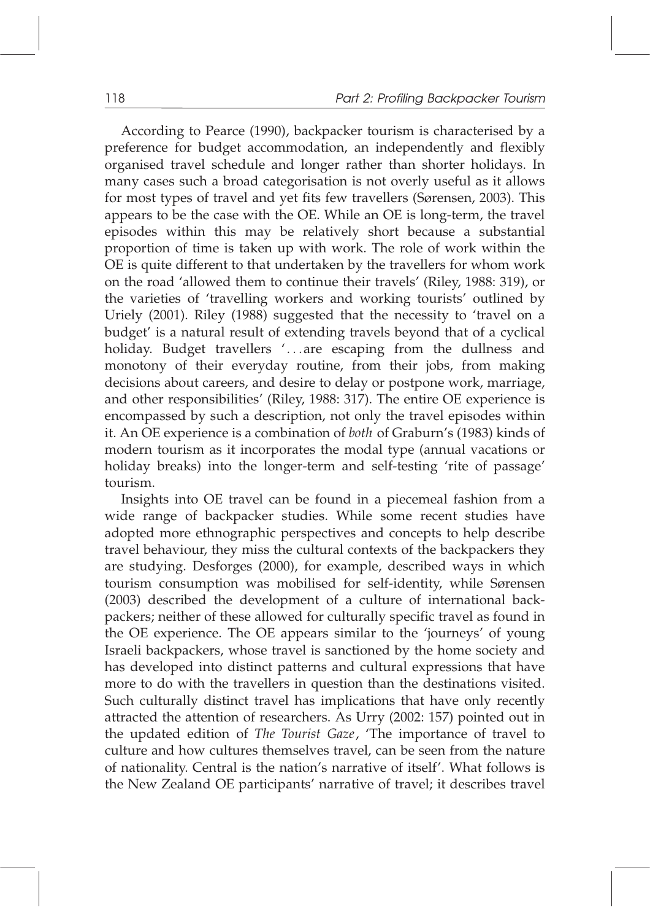According to Pearce (1990), backpacker tourism is characterised by a preference for budget accommodation, an independently and flexibly organised travel schedule and longer rather than shorter holidays. In many cases such a broad categorisation is not overly useful as it allows for most types of travel and yet fits few travellers (Sørensen, 2003). This appears to be the case with the OE. While an OE is long-term, the travel episodes within this may be relatively short because a substantial proportion of time is taken up with work. The role of work within the OE is quite different to that undertaken by the travellers for whom work on the road 'allowed them to continue their travels' (Riley, 1988: 319), or the varieties of 'travelling workers and working tourists' outlined by Uriely (2001). Riley (1988) suggested that the necessity to 'travel on a budget' is a natural result of extending travels beyond that of a cyclical holiday. Budget travellers '...are escaping from the dullness and monotony of their everyday routine, from their jobs, from making decisions about careers, and desire to delay or postpone work, marriage, and other responsibilities' (Riley, 1988: 317). The entire OE experience is encompassed by such a description, not only the travel episodes within it. An OE experience is a combination of both of Graburn's (1983) kinds of modern tourism as it incorporates the modal type (annual vacations or holiday breaks) into the longer-term and self-testing 'rite of passage' tourism.

Insights into OE travel can be found in a piecemeal fashion from a wide range of backpacker studies. While some recent studies have adopted more ethnographic perspectives and concepts to help describe travel behaviour, they miss the cultural contexts of the backpackers they are studying. Desforges (2000), for example, described ways in which tourism consumption was mobilised for self-identity, while Sørensen (2003) described the development of a culture of international backpackers; neither of these allowed for culturally specific travel as found in the OE experience. The OE appears similar to the 'journeys' of young Israeli backpackers, whose travel is sanctioned by the home society and has developed into distinct patterns and cultural expressions that have more to do with the travellers in question than the destinations visited. Such culturally distinct travel has implications that have only recently attracted the attention of researchers. As Urry (2002: 157) pointed out in the updated edition of The Tourist Gaze, 'The importance of travel to culture and how cultures themselves travel, can be seen from the nature of nationality. Central is the nation's narrative of itself'. What follows is the New Zealand OE participants' narrative of travel; it describes travel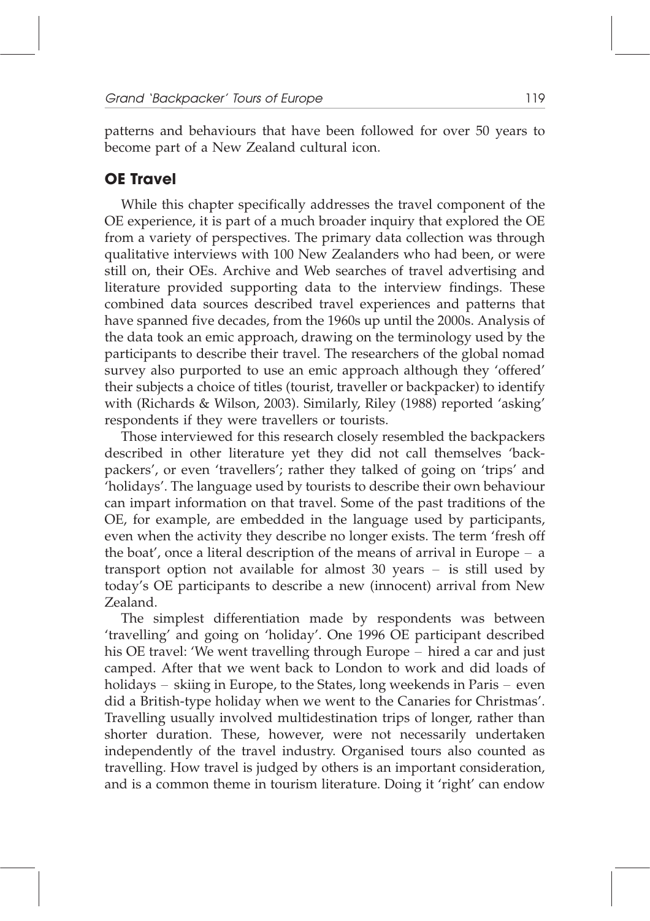patterns and behaviours that have been followed for over 50 years to become part of a New Zealand cultural icon.

## OE Travel

While this chapter specifically addresses the travel component of the OE experience, it is part of a much broader inquiry that explored the OE from a variety of perspectives. The primary data collection was through qualitative interviews with 100 New Zealanders who had been, or were still on, their OEs. Archive and Web searches of travel advertising and literature provided supporting data to the interview findings. These combined data sources described travel experiences and patterns that have spanned five decades, from the 1960s up until the 2000s. Analysis of the data took an emic approach, drawing on the terminology used by the participants to describe their travel. The researchers of the global nomad survey also purported to use an emic approach although they 'offered' their subjects a choice of titles (tourist, traveller or backpacker) to identify with (Richards & Wilson, 2003). Similarly, Riley (1988) reported 'asking' respondents if they were travellers or tourists.

Those interviewed for this research closely resembled the backpackers described in other literature yet they did not call themselves 'backpackers', or even 'travellers'; rather they talked of going on 'trips' and 'holidays'. The language used by tourists to describe their own behaviour can impart information on that travel. Some of the past traditions of the OE, for example, are embedded in the language used by participants, even when the activity they describe no longer exists. The term 'fresh off the boat', once a literal description of the means of arrival in Europe  $-$  a transport option not available for almost  $30$  years  $-$  is still used by today's OE participants to describe a new (innocent) arrival from New Zealand.

The simplest differentiation made by respondents was between 'travelling' and going on 'holiday'. One 1996 OE participant described his OE travel: 'We went travelling through Europe - hired a car and just camped. After that we went back to London to work and did loads of holidays  $-$  skiing in Europe, to the States, long weekends in Paris  $-$  even did a British-type holiday when we went to the Canaries for Christmas'. Travelling usually involved multidestination trips of longer, rather than shorter duration. These, however, were not necessarily undertaken independently of the travel industry. Organised tours also counted as travelling. How travel is judged by others is an important consideration, and is a common theme in tourism literature. Doing it 'right' can endow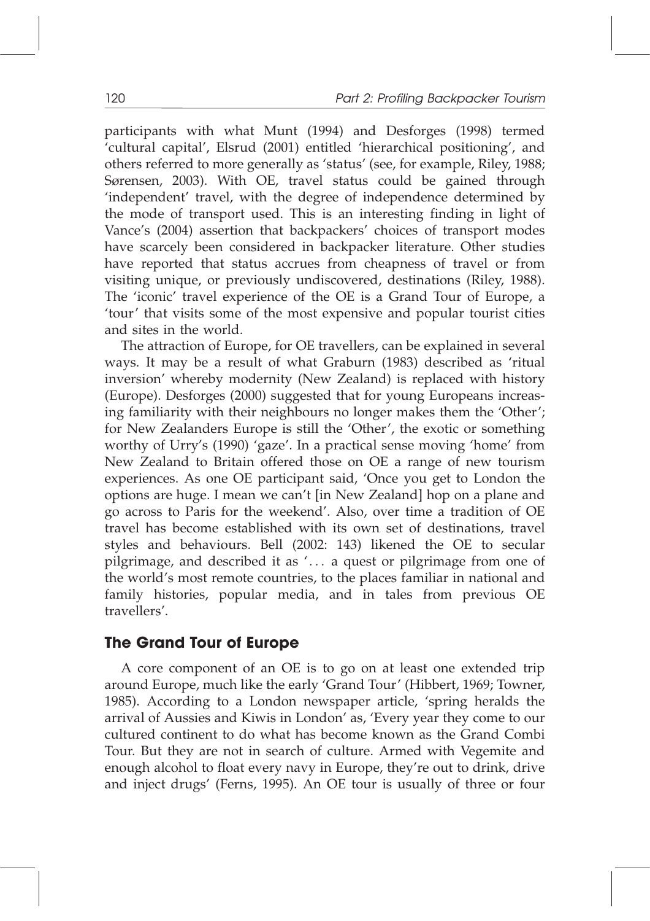participants with what Munt (1994) and Desforges (1998) termed 'cultural capital', Elsrud (2001) entitled 'hierarchical positioning', and others referred to more generally as 'status' (see, for example, Riley, 1988; Sørensen, 2003). With OE, travel status could be gained through 'independent' travel, with the degree of independence determined by the mode of transport used. This is an interesting finding in light of Vance's (2004) assertion that backpackers' choices of transport modes have scarcely been considered in backpacker literature. Other studies have reported that status accrues from cheapness of travel or from visiting unique, or previously undiscovered, destinations (Riley, 1988). The 'iconic' travel experience of the OE is a Grand Tour of Europe, a 'tour' that visits some of the most expensive and popular tourist cities and sites in the world.

The attraction of Europe, for OE travellers, can be explained in several ways. It may be a result of what Graburn (1983) described as 'ritual inversion' whereby modernity (New Zealand) is replaced with history (Europe). Desforges (2000) suggested that for young Europeans increasing familiarity with their neighbours no longer makes them the 'Other'; for New Zealanders Europe is still the 'Other', the exotic or something worthy of Urry's (1990) 'gaze'. In a practical sense moving 'home' from New Zealand to Britain offered those on OE a range of new tourism experiences. As one OE participant said, 'Once you get to London the options are huge. I mean we can't [in New Zealand] hop on a plane and go across to Paris for the weekend'. Also, over time a tradition of OE travel has become established with its own set of destinations, travel styles and behaviours. Bell (2002: 143) likened the OE to secular pilgrimage, and described it as '... a quest or pilgrimage from one of the world's most remote countries, to the places familiar in national and family histories, popular media, and in tales from previous OE travellers'.

## The Grand Tour of Europe

A core component of an OE is to go on at least one extended trip around Europe, much like the early 'Grand Tour' (Hibbert, 1969; Towner, 1985). According to a London newspaper article, 'spring heralds the arrival of Aussies and Kiwis in London' as, 'Every year they come to our cultured continent to do what has become known as the Grand Combi Tour. But they are not in search of culture. Armed with Vegemite and enough alcohol to float every navy in Europe, they're out to drink, drive and inject drugs' (Ferns, 1995). An OE tour is usually of three or four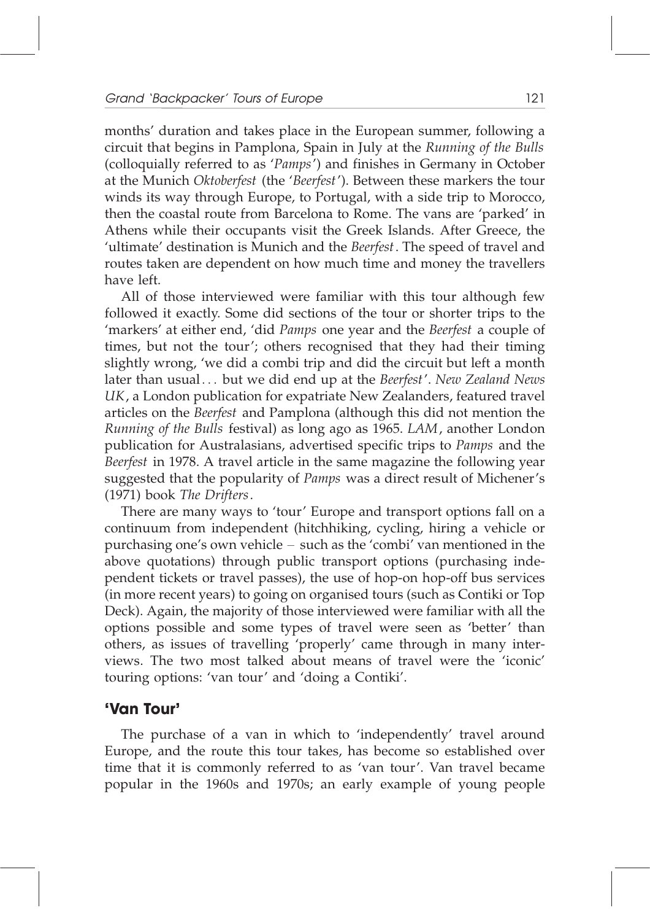months' duration and takes place in the European summer, following a circuit that begins in Pamplona, Spain in July at the Running of the Bulls (colloquially referred to as 'Pamps') and finishes in Germany in October at the Munich Oktoberfest (the 'Beerfest'). Between these markers the tour winds its way through Europe, to Portugal, with a side trip to Morocco, then the coastal route from Barcelona to Rome. The vans are 'parked' in Athens while their occupants visit the Greek Islands. After Greece, the 'ultimate' destination is Munich and the Beerfest. The speed of travel and routes taken are dependent on how much time and money the travellers have left.

All of those interviewed were familiar with this tour although few followed it exactly. Some did sections of the tour or shorter trips to the 'markers' at either end, 'did Pamps one year and the Beerfest a couple of times, but not the tour'; others recognised that they had their timing slightly wrong, 'we did a combi trip and did the circuit but left a month later than usual... but we did end up at the Beerfest'. New Zealand News UK, a London publication for expatriate New Zealanders, featured travel articles on the Beerfest and Pamplona (although this did not mention the Running of the Bulls festival) as long ago as 1965. LAM, another London publication for Australasians, advertised specific trips to Pamps and the Beerfest in 1978. A travel article in the same magazine the following year suggested that the popularity of Pamps was a direct result of Michener's (1971) book The Drifters.

There are many ways to 'tour' Europe and transport options fall on a continuum from independent (hitchhiking, cycling, hiring a vehicle or purchasing one's own vehicle  $-$  such as the 'combi' van mentioned in the above quotations) through public transport options (purchasing independent tickets or travel passes), the use of hop-on hop-off bus services (in more recent years) to going on organised tours (such as Contiki or Top Deck). Again, the majority of those interviewed were familiar with all the options possible and some types of travel were seen as 'better' than others, as issues of travelling 'properly' came through in many interviews. The two most talked about means of travel were the 'iconic' touring options: 'van tour' and 'doing a Contiki'.

#### 'Van Tour'

The purchase of a van in which to 'independently' travel around Europe, and the route this tour takes, has become so established over time that it is commonly referred to as 'van tour'. Van travel became popular in the 1960s and 1970s; an early example of young people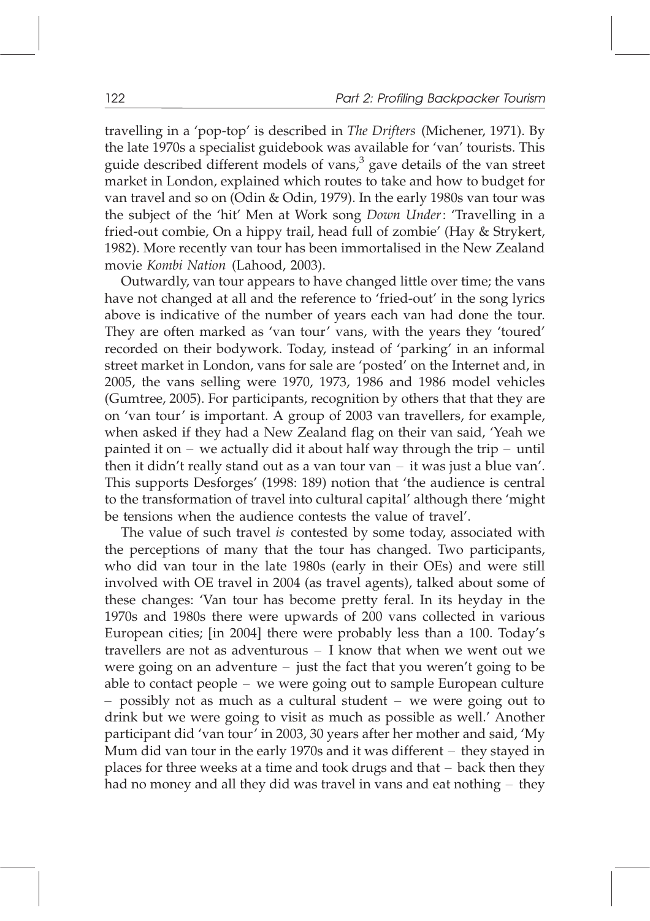travelling in a 'pop-top' is described in The Drifters (Michener, 1971). By the late 1970s a specialist guidebook was available for 'van' tourists. This guide described different models of vans, $3$  gave details of the van street market in London, explained which routes to take and how to budget for van travel and so on (Odin & Odin, 1979). In the early 1980s van tour was the subject of the 'hit' Men at Work song Down Under: 'Travelling in a fried-out combie, On a hippy trail, head full of zombie' (Hay & Strykert, 1982). More recently van tour has been immortalised in the New Zealand movie Kombi Nation (Lahood, 2003).

Outwardly, van tour appears to have changed little over time; the vans have not changed at all and the reference to 'fried-out' in the song lyrics above is indicative of the number of years each van had done the tour. They are often marked as 'van tour' vans, with the years they 'toured' recorded on their bodywork. Today, instead of 'parking' in an informal street market in London, vans for sale are 'posted' on the Internet and, in 2005, the vans selling were 1970, 1973, 1986 and 1986 model vehicles (Gumtree, 2005). For participants, recognition by others that that they are on 'van tour' is important. A group of 2003 van travellers, for example, when asked if they had a New Zealand flag on their van said, 'Yeah we painted it on  $-$  we actually did it about half way through the trip  $-$  until then it didn't really stand out as a van tour van  $-$  it was just a blue van'. This supports Desforges' (1998: 189) notion that 'the audience is central to the transformation of travel into cultural capital' although there 'might be tensions when the audience contests the value of travel'.

The value of such travel is contested by some today, associated with the perceptions of many that the tour has changed. Two participants, who did van tour in the late 1980s (early in their OEs) and were still involved with OE travel in 2004 (as travel agents), talked about some of these changes: 'Van tour has become pretty feral. In its heyday in the 1970s and 1980s there were upwards of 200 vans collected in various European cities; [in 2004] there were probably less than a 100. Today's travellers are not as adventurous  $-$  I know that when we went out we were going on an adventure  $-$  just the fact that you weren't going to be able to contact people  $-$  we were going out to sample European culture - possibly not as much as a cultural student  $-$  we were going out to drink but we were going to visit as much as possible as well.' Another participant did 'van tour' in 2003, 30 years after her mother and said, 'My Mum did van tour in the early 1970s and it was different  $-$  they stayed in places for three weeks at a time and took drugs and that  $-$  back then they had no money and all they did was travel in vans and eat nothing  $-$  they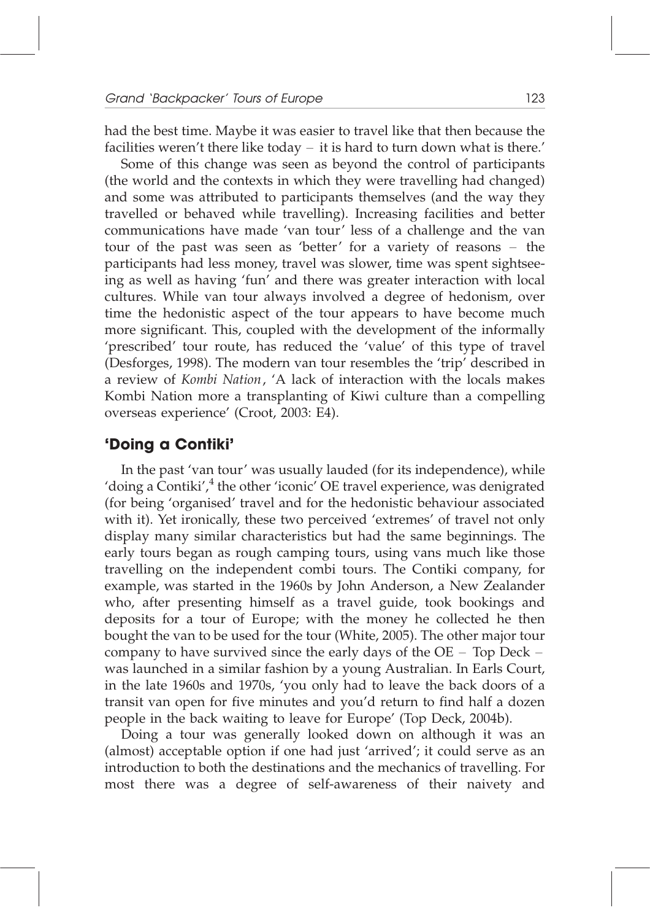had the best time. Maybe it was easier to travel like that then because the facilities weren't there like today  $-$  it is hard to turn down what is there.'

Some of this change was seen as beyond the control of participants (the world and the contexts in which they were travelling had changed) and some was attributed to participants themselves (and the way they travelled or behaved while travelling). Increasing facilities and better communications have made 'van tour' less of a challenge and the van tour of the past was seen as 'better' for a variety of reasons - the participants had less money, travel was slower, time was spent sightseeing as well as having 'fun' and there was greater interaction with local cultures. While van tour always involved a degree of hedonism, over time the hedonistic aspect of the tour appears to have become much more significant. This, coupled with the development of the informally 'prescribed' tour route, has reduced the 'value' of this type of travel (Desforges, 1998). The modern van tour resembles the 'trip' described in a review of Kombi Nation, 'A lack of interaction with the locals makes Kombi Nation more a transplanting of Kiwi culture than a compelling overseas experience' (Croot, 2003: E4).

#### 'Doing a Contiki'

In the past 'van tour' was usually lauded (for its independence), while 'doing a Contiki', $4$  the other 'iconic' OE travel experience, was denigrated (for being 'organised' travel and for the hedonistic behaviour associated with it). Yet ironically, these two perceived 'extremes' of travel not only display many similar characteristics but had the same beginnings. The early tours began as rough camping tours, using vans much like those travelling on the independent combi tours. The Contiki company, for example, was started in the 1960s by John Anderson, a New Zealander who, after presenting himself as a travel guide, took bookings and deposits for a tour of Europe; with the money he collected he then bought the van to be used for the tour (White, 2005). The other major tour company to have survived since the early days of the  $OE$  – Top Deck – was launched in a similar fashion by a young Australian. In Earls Court, in the late 1960s and 1970s, 'you only had to leave the back doors of a transit van open for five minutes and you'd return to find half a dozen people in the back waiting to leave for Europe' (Top Deck, 2004b).

Doing a tour was generally looked down on although it was an (almost) acceptable option if one had just 'arrived'; it could serve as an introduction to both the destinations and the mechanics of travelling. For most there was a degree of self-awareness of their naivety and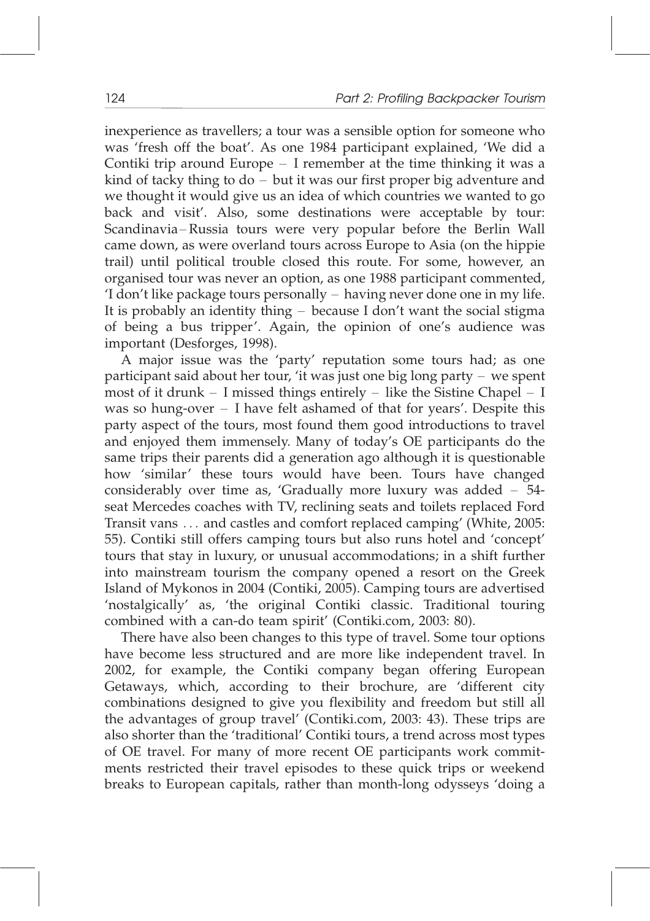inexperience as travellers; a tour was a sensible option for someone who was 'fresh off the boat'. As one 1984 participant explained, 'We did a Contiki trip around Europe  $-$  I remember at the time thinking it was a kind of tacky thing to do  $-$  but it was our first proper big adventure and we thought it would give us an idea of which countries we wanted to go back and visit'. Also, some destinations were acceptable by tour: Scandinavia-Russia tours were very popular before the Berlin Wall came down, as were overland tours across Europe to Asia (on the hippie trail) until political trouble closed this route. For some, however, an organised tour was never an option, as one 1988 participant commented, 'I don't like package tours personally having never done one in my life. It is probably an identity thing  $-$  because I don't want the social stigma of being a bus tripper'. Again, the opinion of one's audience was important (Desforges, 1998).

A major issue was the 'party' reputation some tours had; as one participant said about her tour, 'it was just one big long party  $-$  we spent most of it drunk  $-$  I missed things entirely  $-$  like the Sistine Chapel  $-$  I was so hung-over  $-$  I have felt ashamed of that for years'. Despite this party aspect of the tours, most found them good introductions to travel and enjoyed them immensely. Many of today's OE participants do the same trips their parents did a generation ago although it is questionable how 'similar' these tours would have been. Tours have changed considerably over time as, 'Gradually more luxury was added  $-$  54seat Mercedes coaches with TV, reclining seats and toilets replaced Ford Transit vans ... and castles and comfort replaced camping' (White, 2005: 55). Contiki still offers camping tours but also runs hotel and 'concept' tours that stay in luxury, or unusual accommodations; in a shift further into mainstream tourism the company opened a resort on the Greek Island of Mykonos in 2004 (Contiki, 2005). Camping tours are advertised 'nostalgically' as, 'the original Contiki classic. Traditional touring combined with a can-do team spirit' (Contiki.com, 2003: 80).

There have also been changes to this type of travel. Some tour options have become less structured and are more like independent travel. In 2002, for example, the Contiki company began offering European Getaways, which, according to their brochure, are 'different city combinations designed to give you flexibility and freedom but still all the advantages of group travel' (Contiki.com, 2003: 43). These trips are also shorter than the 'traditional' Contiki tours, a trend across most types of OE travel. For many of more recent OE participants work commitments restricted their travel episodes to these quick trips or weekend breaks to European capitals, rather than month-long odysseys 'doing a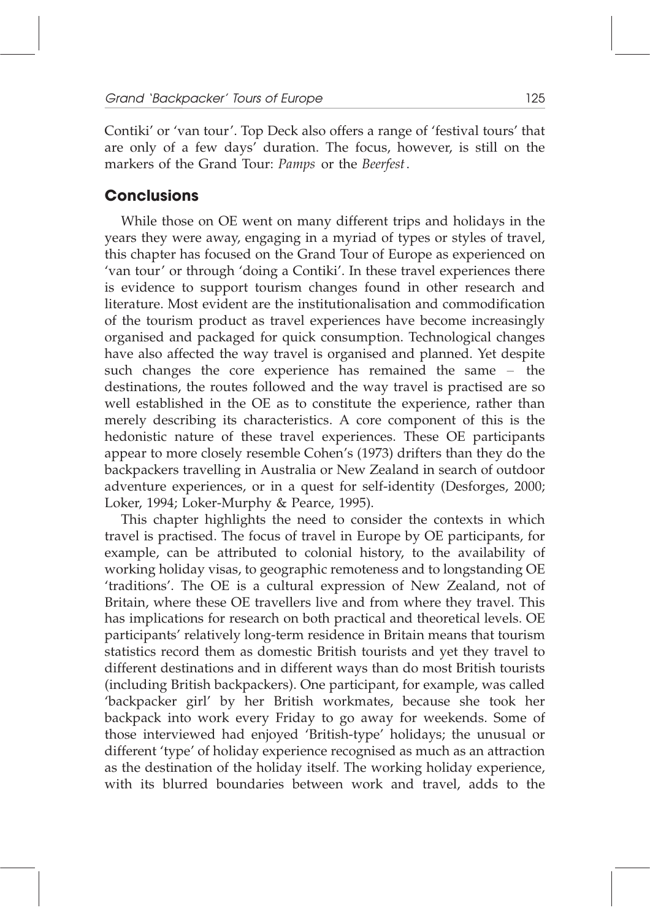Contiki' or 'van tour'. Top Deck also offers a range of 'festival tours' that are only of a few days' duration. The focus, however, is still on the markers of the Grand Tour: Pamps or the Beerfest.

#### **Conclusions**

While those on OE went on many different trips and holidays in the years they were away, engaging in a myriad of types or styles of travel, this chapter has focused on the Grand Tour of Europe as experienced on 'van tour' or through 'doing a Contiki'. In these travel experiences there is evidence to support tourism changes found in other research and literature. Most evident are the institutionalisation and commodification of the tourism product as travel experiences have become increasingly organised and packaged for quick consumption. Technological changes have also affected the way travel is organised and planned. Yet despite such changes the core experience has remained the same  $-$  the destinations, the routes followed and the way travel is practised are so well established in the OE as to constitute the experience, rather than merely describing its characteristics. A core component of this is the hedonistic nature of these travel experiences. These OE participants appear to more closely resemble Cohen's (1973) drifters than they do the backpackers travelling in Australia or New Zealand in search of outdoor adventure experiences, or in a quest for self-identity (Desforges, 2000; Loker, 1994; Loker-Murphy & Pearce, 1995).

This chapter highlights the need to consider the contexts in which travel is practised. The focus of travel in Europe by OE participants, for example, can be attributed to colonial history, to the availability of working holiday visas, to geographic remoteness and to longstanding OE 'traditions'. The OE is a cultural expression of New Zealand, not of Britain, where these OE travellers live and from where they travel. This has implications for research on both practical and theoretical levels. OE participants' relatively long-term residence in Britain means that tourism statistics record them as domestic British tourists and yet they travel to different destinations and in different ways than do most British tourists (including British backpackers). One participant, for example, was called 'backpacker girl' by her British workmates, because she took her backpack into work every Friday to go away for weekends. Some of those interviewed had enjoyed 'British-type' holidays; the unusual or different 'type' of holiday experience recognised as much as an attraction as the destination of the holiday itself. The working holiday experience, with its blurred boundaries between work and travel, adds to the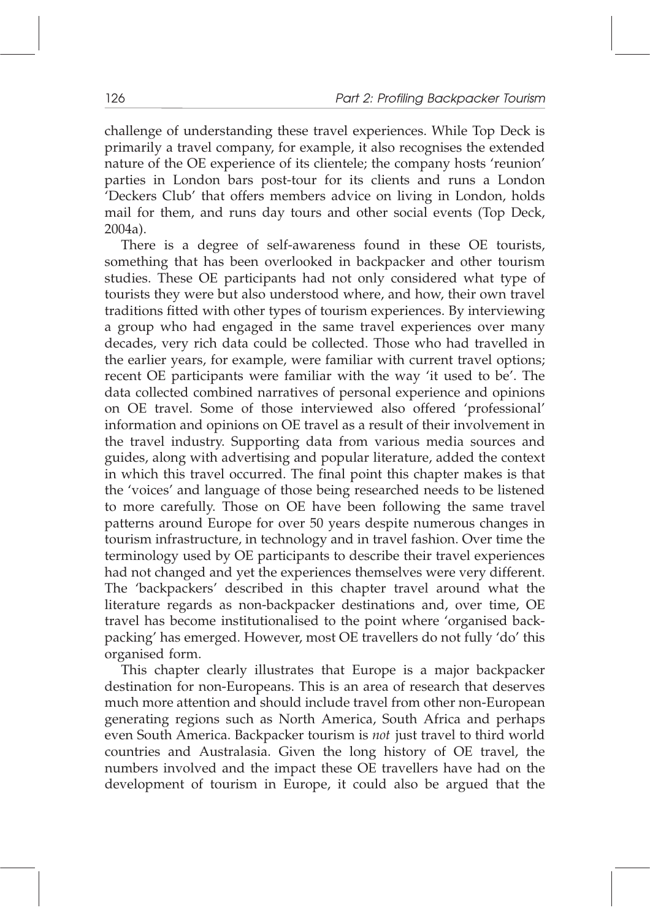challenge of understanding these travel experiences. While Top Deck is primarily a travel company, for example, it also recognises the extended nature of the OE experience of its clientele; the company hosts 'reunion' parties in London bars post-tour for its clients and runs a London 'Deckers Club' that offers members advice on living in London, holds mail for them, and runs day tours and other social events (Top Deck, 2004a).

There is a degree of self-awareness found in these OE tourists, something that has been overlooked in backpacker and other tourism studies. These OE participants had not only considered what type of tourists they were but also understood where, and how, their own travel traditions fitted with other types of tourism experiences. By interviewing a group who had engaged in the same travel experiences over many decades, very rich data could be collected. Those who had travelled in the earlier years, for example, were familiar with current travel options; recent OE participants were familiar with the way 'it used to be'. The data collected combined narratives of personal experience and opinions on OE travel. Some of those interviewed also offered 'professional' information and opinions on OE travel as a result of their involvement in the travel industry. Supporting data from various media sources and guides, along with advertising and popular literature, added the context in which this travel occurred. The final point this chapter makes is that the 'voices' and language of those being researched needs to be listened to more carefully. Those on OE have been following the same travel patterns around Europe for over 50 years despite numerous changes in tourism infrastructure, in technology and in travel fashion. Over time the terminology used by OE participants to describe their travel experiences had not changed and yet the experiences themselves were very different. The 'backpackers' described in this chapter travel around what the literature regards as non-backpacker destinations and, over time, OE travel has become institutionalised to the point where 'organised backpacking' has emerged. However, most OE travellers do not fully 'do' this organised form.

This chapter clearly illustrates that Europe is a major backpacker destination for non-Europeans. This is an area of research that deserves much more attention and should include travel from other non-European generating regions such as North America, South Africa and perhaps even South America. Backpacker tourism is not just travel to third world countries and Australasia. Given the long history of OE travel, the numbers involved and the impact these OE travellers have had on the development of tourism in Europe, it could also be argued that the